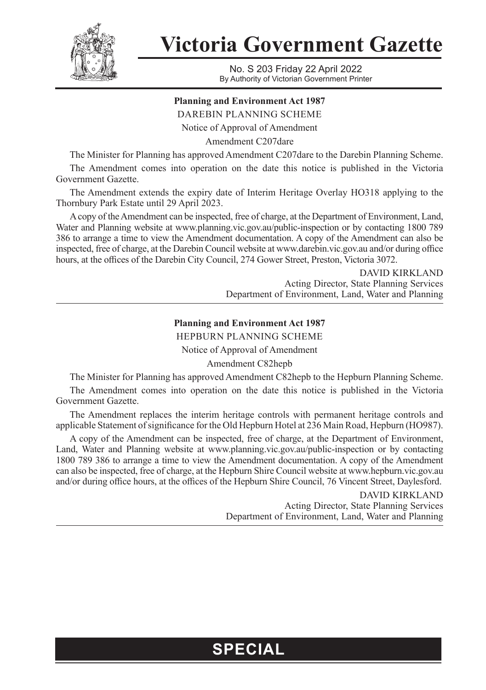

**Victoria Government Gazette**

No. S 203 Friday 22 April 2022 By Authority of Victorian Government Printer

#### **Planning and Environment Act 1987**

DAREBIN PLANNING SCHEME

Notice of Approval of Amendment

Amendment C207dare

The Minister for Planning has approved Amendment C207dare to the Darebin Planning Scheme.

The Amendment comes into operation on the date this notice is published in the Victoria Government Gazette.

The Amendment extends the expiry date of Interim Heritage Overlay HO318 applying to the Thornbury Park Estate until 29 April 2023.

A copy of the Amendment can be inspected, free of charge, at the Department of Environment, Land, Water and Planning website at www.planning.vic.gov.au/public-inspection or by contacting 1800 789 386 to arrange a time to view the Amendment documentation. A copy of the Amendment can also be inspected, free of charge, at the Darebin Council website at www.darebin.vic.gov.au and/or during office hours, at the offices of the Darebin City Council, 274 Gower Street, Preston, Victoria 3072.

> DAVID KIRKLAND Acting Director, State Planning Services Department of Environment, Land, Water and Planning

### **Planning and Environment Act 1987** HEPBURN PLANNING SCHEME Notice of Approval of Amendment

Amendment C82hepb

The Minister for Planning has approved Amendment C82hepb to the Hepburn Planning Scheme.

The Amendment comes into operation on the date this notice is published in the Victoria Government Gazette.

The Amendment replaces the interim heritage controls with permanent heritage controls and applicable Statement of significance for the Old Hepburn Hotel at 236 Main Road, Hepburn (HO987).

A copy of the Amendment can be inspected, free of charge, at the Department of Environment, Land, Water and Planning website at www.planning.vic.gov.au/public-inspection or by contacting 1800 789 386 to arrange a time to view the Amendment documentation. A copy of the Amendment can also be inspected, free of charge, at the Hepburn Shire Council website at www.hepburn.vic.gov.au and/or during office hours, at the offices of the Hepburn Shire Council, 76 Vincent Street, Daylesford.

> DAVID KIRKLAND Acting Director, State Planning Services Department of Environment, Land, Water and Planning

## **SPECIAL**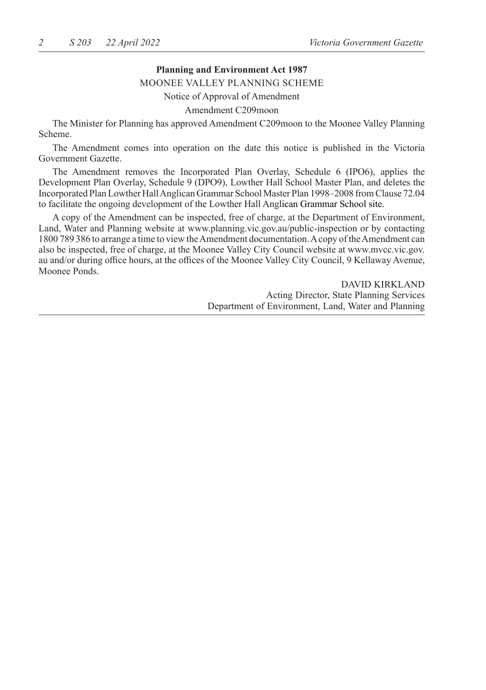#### **Planning and Environment Act 1987**

#### MOONEE VALLEY PLANNING SCHEME

Notice of Approval of Amendment

#### Amendment C209moon

The Minister for Planning has approved Amendment C209moon to the Moonee Valley Planning Scheme.

The Amendment comes into operation on the date this notice is published in the Victoria Government Gazette.

The Amendment removes the Incorporated Plan Overlay, Schedule 6 (IPO6), applies the Development Plan Overlay, Schedule 9 (DPO9), Lowther Hall School Master Plan, and deletes the Incorporated Plan Lowther Hall Anglican Grammar School Master Plan 1998–2008 from Clause 72.04 to facilitate the ongoing development of the Lowther Hall Anglican Grammar School site.

A copy of the Amendment can be inspected, free of charge, at the Department of Environment, Land, Water and Planning website at www.planning.vic.gov.au/public-inspection or by contacting 1800 789 386 to arrange a time to view the Amendment documentation. A copy of the Amendment can also be inspected, free of charge, at the Moonee Valley City Council website at www.mvcc.vic.gov. au and/or during office hours, at the offices of the Moonee Valley City Council, 9 Kellaway Avenue, Moonee Ponds.

> DAVID KIRKLAND Acting Director, State Planning Services Department of Environment, Land, Water and Planning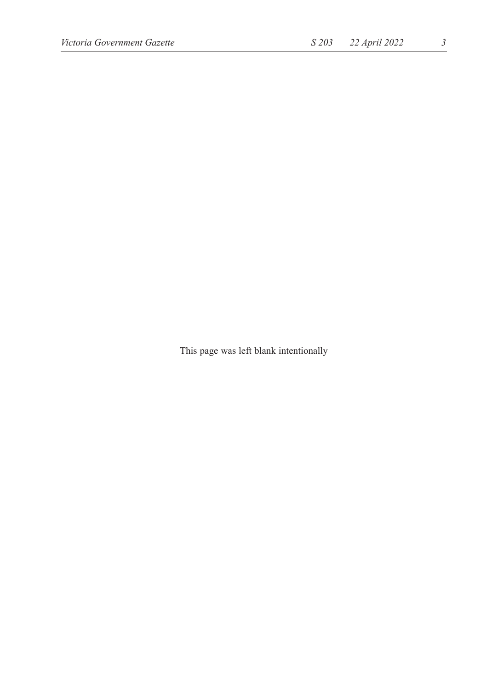This page was left blank intentionally